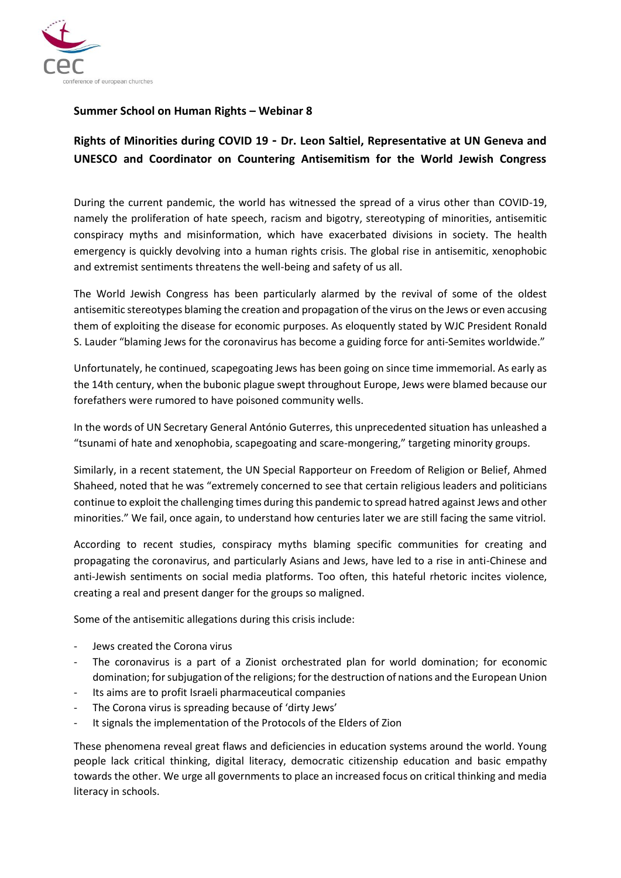

## **Summer School on Human Rights – Webinar 8**

## **Rights of Minorities during COVID 19 - Dr. Leon Saltiel, Representative at UN Geneva and UNESCO and Coordinator on Countering Antisemitism for the World Jewish Congress**

During the current pandemic, the world has witnessed the spread of a virus other than COVID-19, namely the proliferation of hate speech, racism and bigotry, stereotyping of minorities, antisemitic conspiracy myths and misinformation, which have exacerbated divisions in society. The health emergency is quickly devolving into a human rights crisis. The global rise in antisemitic, xenophobic and extremist sentiments threatens the well-being and safety of us all.

The World Jewish Congress has been particularly alarmed by the revival of some of the oldest antisemitic stereotypes blaming the creation and propagation of the virus on the Jews or even accusing them of exploiting the disease for economic purposes. As eloquently stated by WJC President Ronald S. Lauder "blaming Jews for the coronavirus has become a guiding force for anti-Semites worldwide."

Unfortunately, he continued, scapegoating Jews has been going on since time immemorial. As early as the 14th century, when the bubonic plague swept throughout Europe, Jews were blamed because our forefathers were rumored to have poisoned community wells.

In the words of UN Secretary General António Guterres, this unprecedented situation has unleashed a "tsunami of hate and xenophobia, scapegoating and scare-mongering," targeting minority groups.

Similarly, in a recent statement, the UN Special Rapporteur on Freedom of Religion or Belief, Ahmed Shaheed, noted that he was "extremely concerned to see that certain religious leaders and politicians continue to exploit the challenging times during this pandemic to spread hatred against Jews and other minorities." We fail, once again, to understand how centuries later we are still facing the same vitriol.

According to recent studies, conspiracy myths blaming specific communities for creating and propagating the coronavirus, and particularly Asians and Jews, have led to a rise in anti-Chinese and anti-Jewish sentiments on social media platforms. Too often, this hateful rhetoric incites violence, creating a real and present danger for the groups so maligned.

Some of the antisemitic allegations during this crisis include:

- Jews created the Corona virus
- The coronavirus is a part of a Zionist orchestrated plan for world domination; for economic domination; for subjugation of the religions; for the destruction of nations and the European Union
- Its aims are to profit Israeli pharmaceutical companies
- The Corona virus is spreading because of 'dirty Jews'
- It signals the implementation of the Protocols of the Elders of Zion

These phenomena reveal great flaws and deficiencies in education systems around the world. Young people lack critical thinking, digital literacy, democratic citizenship education and basic empathy towards the other. We urge all governments to place an increased focus on critical thinking and media literacy in schools.